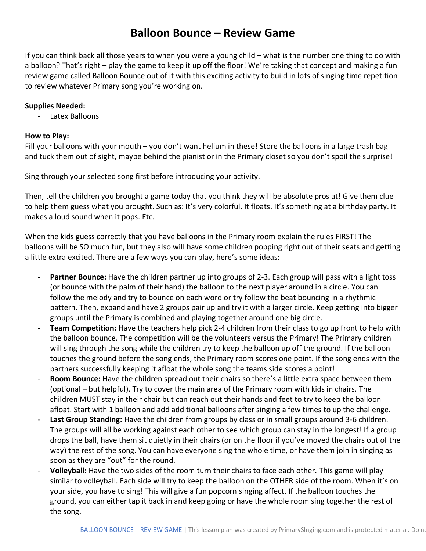### **Balloon Bounce – Review Game**

If you can think back all those years to when you were a young child – what is the number one thing to do with a balloon? That's right – play the game to keep it up off the floor! We're taking that concept and making a fun review game called Balloon Bounce out of it with this exciting activity to build in lots of singing time repetition to review whatever Primary song you're working on.

#### **Supplies Needed:**

- Latex Balloons

#### **How to Play:**

Fill your balloons with your mouth – you don't want helium in these! Store the balloons in a large trash bag and tuck them out of sight, maybe behind the pianist or in the Primary closet so you don't spoil the surprise!

Sing through your selected song first before introducing your activity.

Then, tell the children you brought a game today that you think they will be absolute pros at! Give them clue to help them guess what you brought. Such as: It's very colorful. It floats. It's something at a birthday party. It makes a loud sound when it pops. Etc.

When the kids guess correctly that you have balloons in the Primary room explain the rules FIRST! The balloons will be SO much fun, but they also will have some children popping right out of their seats and getting a little extra excited. There are a few ways you can play, here's some ideas:

- Partner Bounce: Have the children partner up into groups of 2-3. Each group will pass with a light toss (or bounce with the palm of their hand) the balloon to the next player around in a circle. You can follow the melody and try to bounce on each word or try follow the beat bouncing in a rhythmic pattern. Then, expand and have 2 groups pair up and try it with a larger circle. Keep getting into bigger groups until the Primary is combined and playing together around one big circle.
- **Team Competition:** Have the teachers help pick 2-4 children from their class to go up front to help with the balloon bounce. The competition will be the volunteers versus the Primary! The Primary children will sing through the song while the children try to keep the balloon up off the ground. If the balloon touches the ground before the song ends, the Primary room scores one point. If the song ends with the partners successfully keeping it afloat the whole song the teams side scores a point!
- Room Bounce: Have the children spread out their chairs so there's a little extra space between them (optional – but helpful). Try to cover the main area of the Primary room with kids in chairs. The children MUST stay in their chair but can reach out their hands and feet to try to keep the balloon afloat. Start with 1 balloon and add additional balloons after singing a few times to up the challenge.
- Last Group Standing: Have the children from groups by class or in small groups around 3-6 children. The groups will all be working against each other to see which group can stay in the longest! If a group drops the ball, have them sit quietly in their chairs (or on the floor if you've moved the chairs out of the way) the rest of the song. You can have everyone sing the whole time, or have them join in singing as soon as they are "out" for the round.
- **Volleyball:** Have the two sides of the room turn their chairs to face each other. This game will play similar to volleyball. Each side will try to keep the balloon on the OTHER side of the room. When it's on your side, you have to sing! This will give a fun popcorn singing affect. If the balloon touches the ground, you can either tap it back in and keep going or have the whole room sing together the rest of the song.